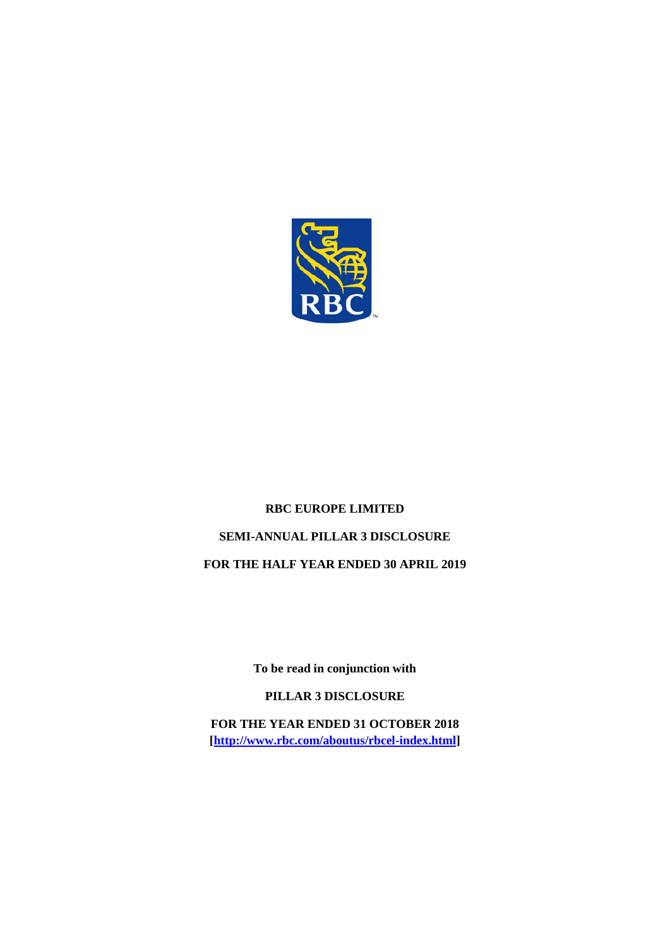

# **RBC EUROPE LIMITED SEMI-ANNUAL PILLAR 3 DISCLOSURE FOR THE HALF YEAR ENDED 30 APRIL 2019**

**To be read in conjunction with** 

**PILLAR 3 DISCLOSURE**

**FOR THE YEAR ENDED 31 OCTOBER 2018 [\[http://www.rbc.com/aboutus/rbcel-index.html\]](http://www.rbc.com/aboutus/rbcel-index.html)**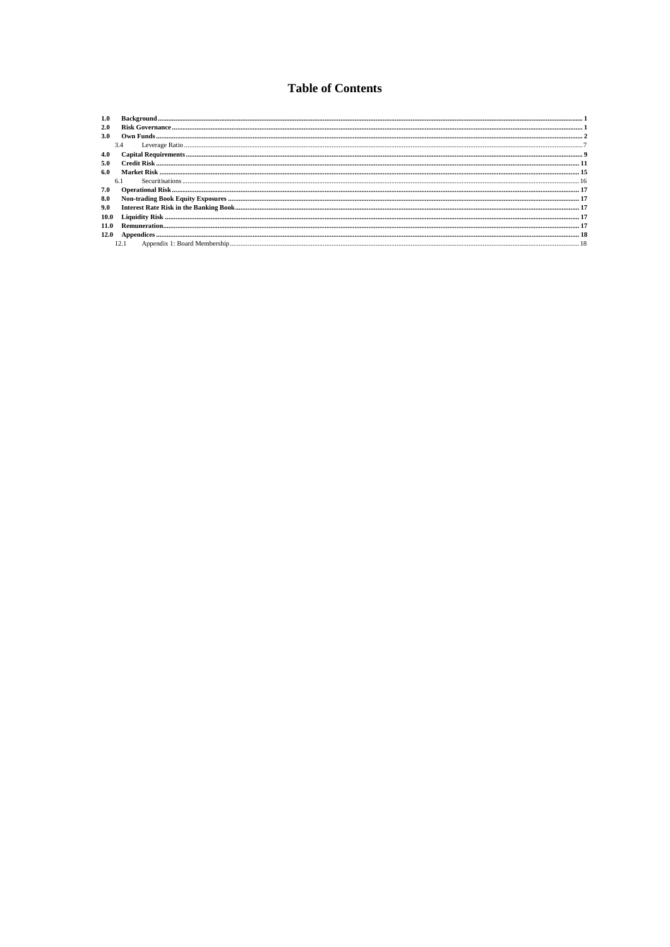### **Table of Contents**

| 1.0  |     |
|------|-----|
| 2.0  |     |
| 3.0  |     |
|      | 3.4 |
| 4.0  |     |
| 5.0  |     |
| 6.0  |     |
|      | 6.1 |
| 7.0  |     |
| 8.0  |     |
| 9.0  |     |
| 10.0 |     |
|      |     |
| 12.0 |     |
|      |     |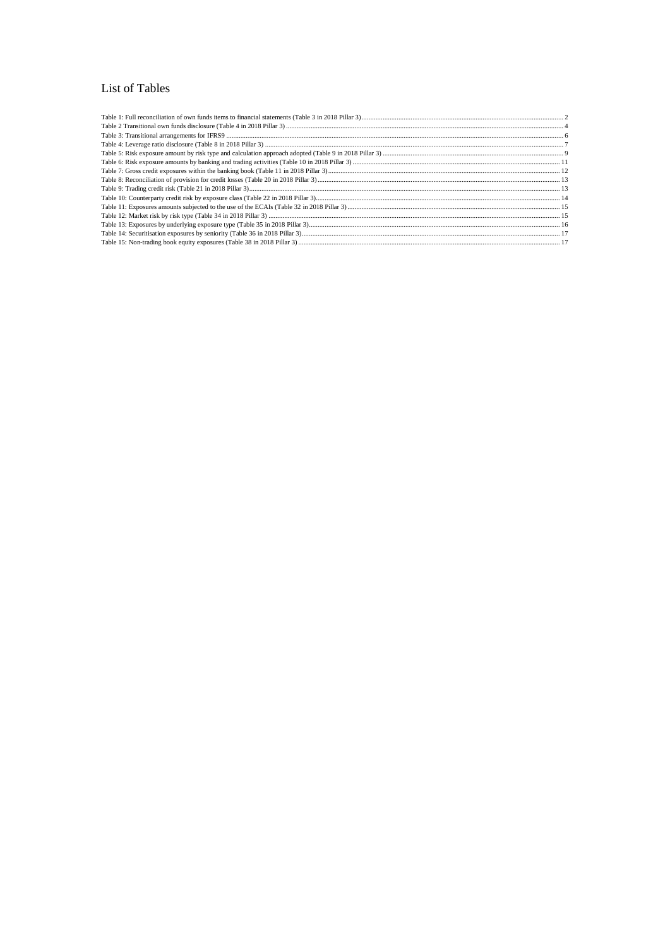#### List of Tables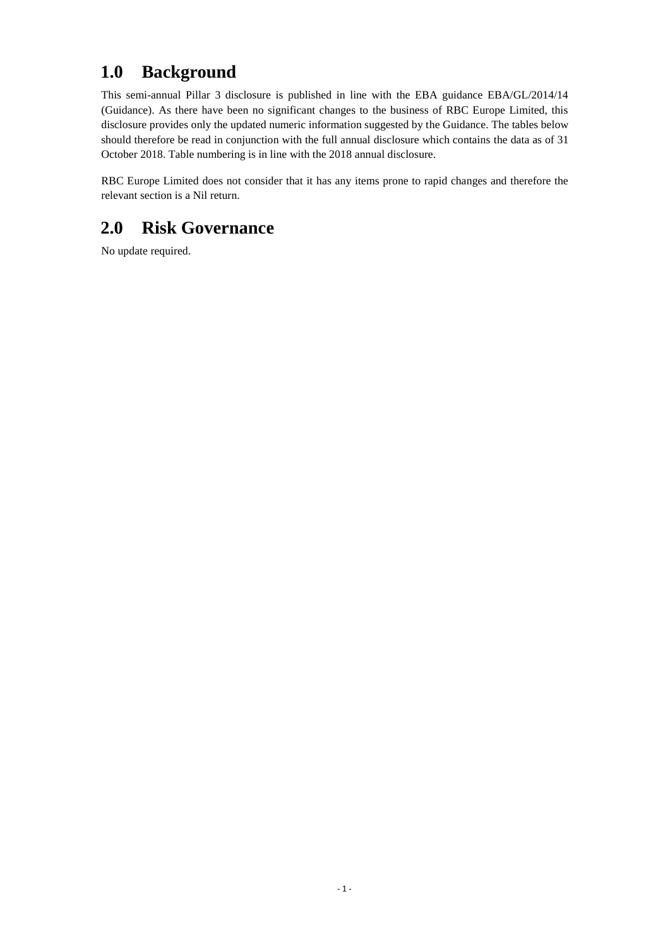## <span id="page-3-0"></span>**1.0 Background**

This semi-annual Pillar 3 disclosure is published in line with the EBA guidance EBA/GL/2014/14 (Guidance). As there have been no significant changes to the business of RBC Europe Limited, this disclosure provides only the updated numeric information suggested by the Guidance. The tables below should therefore be read in conjunction with the full annual disclosure which contains the data as of 31 October 2018. Table numbering is in line with the 2018 annual disclosure.

RBC Europe Limited does not consider that it has any items prone to rapid changes and therefore the relevant section is a Nil return.

### <span id="page-3-1"></span>**2.0 Risk Governance**

No update required.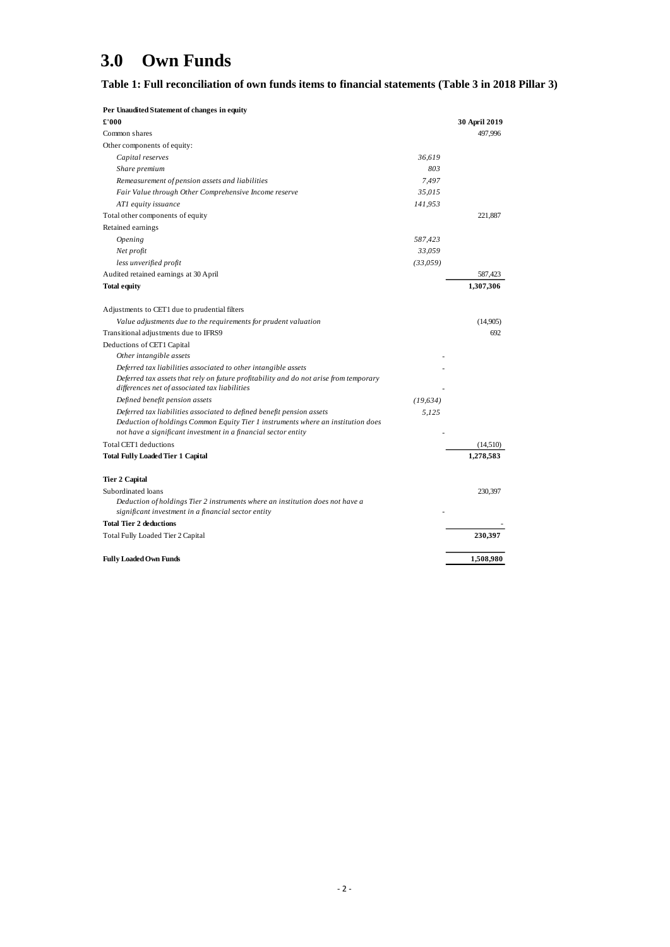# <span id="page-4-0"></span>**3.0 Own Funds**

#### <span id="page-4-1"></span>**Table 1: Full reconciliation of own funds items to financial statements (Table 3 in 2018 Pillar 3)**

| Per Unaudited Statement of changes in equity                                                                                                       |           |               |
|----------------------------------------------------------------------------------------------------------------------------------------------------|-----------|---------------|
| £'000                                                                                                                                              |           | 30 April 2019 |
| Common shares                                                                                                                                      |           | 497,996       |
| Other components of equity:                                                                                                                        |           |               |
| Capital reserves                                                                                                                                   | 36,619    |               |
| Share premium                                                                                                                                      | 803       |               |
| Remeasurement of pension assets and liabilities                                                                                                    | 7,497     |               |
| Fair Value through Other Comprehensive Income reserve                                                                                              | 35,015    |               |
| ATI equity issuance                                                                                                                                | 141,953   |               |
| Total other components of equity                                                                                                                   |           | 221,887       |
| Retained earnings                                                                                                                                  |           |               |
| Opening                                                                                                                                            | 587,423   |               |
| Net profit                                                                                                                                         | 33,059    |               |
| less unverified profit                                                                                                                             | (33,059)  |               |
| Audited retained earnings at 30 April                                                                                                              |           | 587,423       |
| <b>Total equity</b>                                                                                                                                |           | 1,307,306     |
| Adjustments to CET1 due to prudential filters                                                                                                      |           |               |
| Value adjustments due to the requirements for prudent valuation                                                                                    |           | (14,905)      |
| Transitional adjustments due to IFRS9                                                                                                              |           | 692           |
| Deductions of CET1 Capital                                                                                                                         |           |               |
| Other intangible assets                                                                                                                            |           |               |
| Deferred tax liabilities associated to other intangible assets                                                                                     |           |               |
| Deferred tax assets that rely on future profitability and do not arise from temporary<br>differences net of associated tax liabilities             |           |               |
| Defined benefit pension assets                                                                                                                     | (19, 634) |               |
| Deferred tax liabilities associated to defined benefit pension assets                                                                              | 5,125     |               |
| Deduction of holdings Common Equity Tier 1 instruments where an institution does<br>not have a significant investment in a financial sector entity |           |               |
| Total CET1 deductions                                                                                                                              |           | (14, 510)     |
| Total Fully Loaded Tier 1 Capital                                                                                                                  |           | 1.278.583     |
| <b>Tier 2 Capital</b>                                                                                                                              |           |               |
| Subordinated loans                                                                                                                                 |           | 230,397       |
| Deduction of holdings Tier 2 instruments where an institution does not have a                                                                      |           |               |
| significant investment in a financial sector entity                                                                                                |           |               |
| <b>Total Tier 2 deductions</b>                                                                                                                     |           |               |
| Total Fully Loaded Tier 2 Capital                                                                                                                  |           | 230,397       |
| <b>Fully Loaded Own Funds</b>                                                                                                                      |           | 1,508,980     |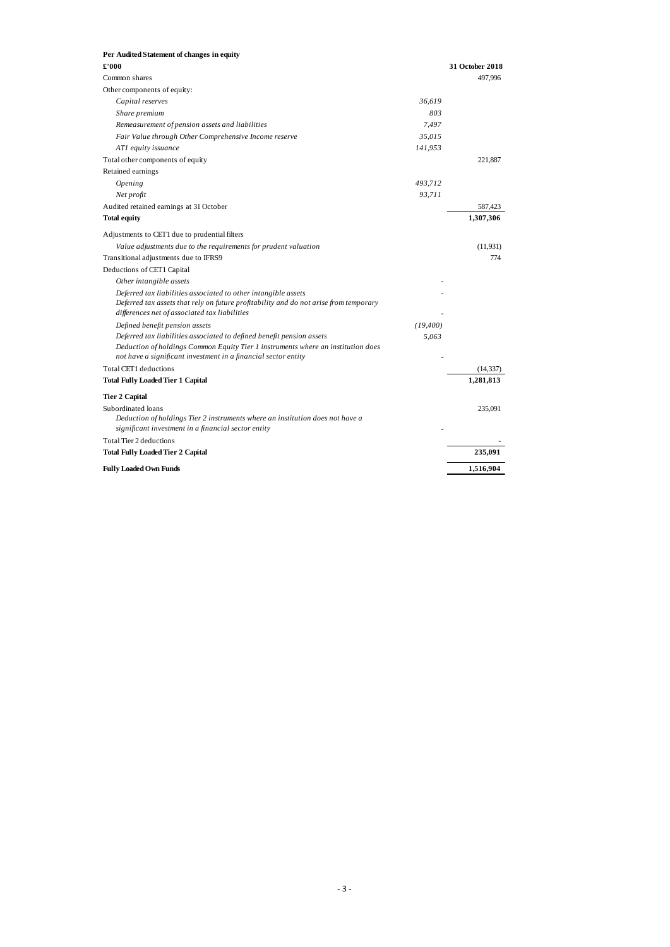| Per Audited Statement of changes in equity                                                                                                         |           |                 |
|----------------------------------------------------------------------------------------------------------------------------------------------------|-----------|-----------------|
| £'000                                                                                                                                              |           | 31 October 2018 |
| Common shares                                                                                                                                      |           | 497.996         |
| Other components of equity:                                                                                                                        |           |                 |
| Capital reserves                                                                                                                                   | 36,619    |                 |
| Share premium                                                                                                                                      | 803       |                 |
| Remeasurement of pension assets and liabilities                                                                                                    | 7,497     |                 |
| Fair Value through Other Comprehensive Income reserve                                                                                              | 35,015    |                 |
| AT1 equity issuance                                                                                                                                | 141,953   |                 |
| Total other components of equity                                                                                                                   |           | 221,887         |
| Retained earnings                                                                                                                                  |           |                 |
| <i><b>Opening</b></i>                                                                                                                              | 493,712   |                 |
| Net profit                                                                                                                                         | 93,711    |                 |
| Audited retained earnings at 31 October                                                                                                            |           | 587,423         |
| <b>Total equity</b>                                                                                                                                |           | 1,307,306       |
| Adjustments to CET1 due to prudential filters                                                                                                      |           |                 |
| Value adjustments due to the requirements for prudent valuation                                                                                    |           | (11.931)        |
| Transitional adjustments due to IFRS9                                                                                                              |           | 774             |
| Deductions of CET1 Capital                                                                                                                         |           |                 |
| Other intangible assets                                                                                                                            |           |                 |
| Deferred tax liabilities associated to other intangible assets                                                                                     |           |                 |
| Deferred tax assets that rely on future profitability and do not arise from temporary<br>differences net of associated tax liabilities             |           |                 |
| Defined benefit pension assets                                                                                                                     | (19, 400) |                 |
| Deferred tax liabilities associated to defined benefit pension assets                                                                              | 5,063     |                 |
| Deduction of holdings Common Equity Tier 1 instruments where an institution does<br>not have a significant investment in a financial sector entity |           |                 |
| Total CET1 deductions                                                                                                                              |           | (14, 337)       |
| <b>Total Fully Loaded Tier 1 Capital</b>                                                                                                           |           | 1,281,813       |
| <b>Tier 2 Capital</b>                                                                                                                              |           |                 |
| Subordinated loans                                                                                                                                 |           | 235,091         |
| Deduction of holdings Tier 2 instruments where an institution does not have a<br>significant investment in a financial sector entity               |           |                 |
| Total Tier 2 deductions                                                                                                                            |           |                 |
| Total Fully Loaded Tier 2 Capital                                                                                                                  |           | 235,091         |
| <b>Fully Loaded Own Funds</b>                                                                                                                      |           | 1,516,904       |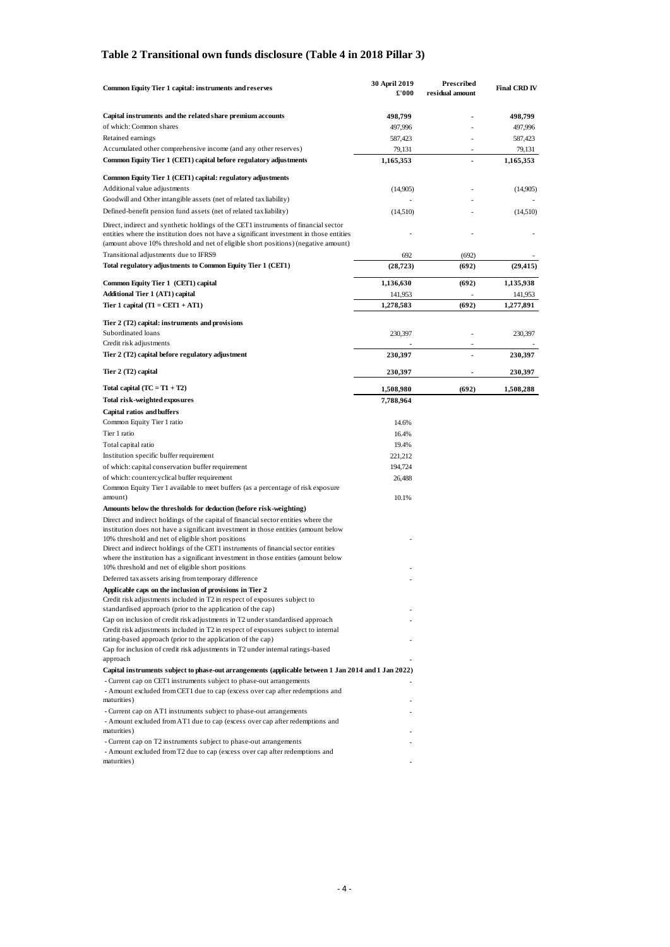#### <span id="page-6-0"></span>**Table 2 Transitional own funds disclosure (Table 4 in 2018 Pillar 3)**

| Common Equity Tier 1 capital: instruments and reserves                                                                                                                                                                                                               | <b>30 April 2019</b><br>£'000 | Prescribed<br>residual amount | <b>Final CRD IV</b> |
|----------------------------------------------------------------------------------------------------------------------------------------------------------------------------------------------------------------------------------------------------------------------|-------------------------------|-------------------------------|---------------------|
| Capital instruments and the related share premium accounts                                                                                                                                                                                                           | 498,799                       |                               | 498,799             |
| of which: Common shares                                                                                                                                                                                                                                              | 497,996                       |                               | 497,996             |
| Retained earnings                                                                                                                                                                                                                                                    | 587,423                       |                               | 587,423             |
| Accumulated other comprehensive income (and any other reserves)                                                                                                                                                                                                      | 79,131                        | $\overline{\phantom{a}}$      | 79,131              |
| Common Equity Tier 1 (CET1) capital before regulatory adjustments                                                                                                                                                                                                    | 1,165,353                     |                               | 1,165,353           |
|                                                                                                                                                                                                                                                                      |                               |                               |                     |
| Common Equity Tier 1 (CET1) capital: regulatory adjustments<br>Additional value adjustments                                                                                                                                                                          | (14,905)                      |                               | (14,905)            |
| Goodwill and Other intangible assets (net of related tax liability)                                                                                                                                                                                                  |                               |                               |                     |
| Defined-benefit pension fund assets (net of related tax liability)                                                                                                                                                                                                   | (14,510)                      |                               | (14,510)            |
| Direct, indirect and synthetic holdings of the CET1 instruments of financial sector<br>entities where the institution does not have a significant investment in those entities<br>(amount above 10% threshold and net of eligible short positions) (negative amount) |                               |                               |                     |
| Transitional adjustments due to IFRS9                                                                                                                                                                                                                                | 692                           | (692)                         |                     |
| Total regulatory adjustments to Common Equity Tier 1 (CET1)                                                                                                                                                                                                          | (28, 723)                     | (692)                         | (29, 415)           |
|                                                                                                                                                                                                                                                                      |                               |                               |                     |
| Common Equity Tier 1 (CET1) capital                                                                                                                                                                                                                                  | 1,136,630                     | (692)                         | 1,135,938           |
| <b>Additional Tier 1 (AT1) capital</b>                                                                                                                                                                                                                               | 141,953                       | Ĭ.                            | 141,953             |
| Tier 1 capital $(T1 = CET1 + AT1)$                                                                                                                                                                                                                                   | 1,278,583                     | (692)                         | 1,277,891           |
| Tier 2 (T2) capital: instruments and provisions                                                                                                                                                                                                                      |                               |                               |                     |
| Subordinated loans<br>Credit risk adjustments                                                                                                                                                                                                                        | 230,397                       |                               | 230,397             |
| Tier 2 (T2) capital before regulatory adjustment                                                                                                                                                                                                                     | 230,397                       |                               | 230,397             |
| Tier 2 (T2) capital                                                                                                                                                                                                                                                  | 230,397                       |                               | 230,397             |
| Total capital $(TC = T1 + T2)$                                                                                                                                                                                                                                       | 1,508,980                     | (692)                         | 1,508,288           |
| Total risk-weighted exposures                                                                                                                                                                                                                                        | 7,788,964                     |                               |                     |
| <b>Capital ratios and buffers</b>                                                                                                                                                                                                                                    |                               |                               |                     |
| Common Equity Tier 1 ratio                                                                                                                                                                                                                                           | 14.6%                         |                               |                     |
| Tier 1 ratio                                                                                                                                                                                                                                                         | 16.4%                         |                               |                     |
| Total capital ratio                                                                                                                                                                                                                                                  | 19.4%                         |                               |                     |
| Institution specific buffer requirement                                                                                                                                                                                                                              | 221,212                       |                               |                     |
| of which: capital conservation buffer requirement                                                                                                                                                                                                                    | 194,724                       |                               |                     |
| of which: countercyclical buffer requirement                                                                                                                                                                                                                         | 26,488                        |                               |                     |
| Common Equity Tier 1 available to meet buffers (as a percentage of risk exposure<br>amount)                                                                                                                                                                          | 10.1%                         |                               |                     |
| Amounts below the thresholds for deduction (before risk-weighting)                                                                                                                                                                                                   |                               |                               |                     |
| Direct and indirect holdings of the capital of financial sector entities where the<br>institution does not have a significant investment in those entities (amount below                                                                                             |                               |                               |                     |
| 10% threshold and net of eligible short positions                                                                                                                                                                                                                    |                               |                               |                     |
| Direct and indirect holdings of the CET1 instruments of financial sector entities<br>where the institution has a significant investment in those entities (amount below                                                                                              |                               |                               |                     |
| 10% threshold and net of eligible short positions                                                                                                                                                                                                                    |                               |                               |                     |
| Deferred tax assets arising from temporary difference                                                                                                                                                                                                                |                               |                               |                     |
| Applicable caps on the inclusion of provisions in Tier 2                                                                                                                                                                                                             |                               |                               |                     |
| Credit risk adjustments included in T2 in respect of exposures subject to<br>standardised approach (prior to the application of the cap)                                                                                                                             |                               |                               |                     |
| Cap on inclusion of credit risk adjustments in T2 under standardised approach                                                                                                                                                                                        |                               |                               |                     |
| Credit risk adjustments included in T2 in respect of exposures subject to internal                                                                                                                                                                                   |                               |                               |                     |
| rating-based approach (prior to the application of the cap)                                                                                                                                                                                                          |                               |                               |                     |
| Cap for inclusion of credit risk adjustments in T2 under internal ratings-based<br>approach                                                                                                                                                                          |                               |                               |                     |
| Capital instruments subject to phase-out arrangements (applicable between 1 Jan 2014 and 1 Jan 2022)                                                                                                                                                                 |                               |                               |                     |
| - Current cap on CET1 instruments subject to phase-out arrangements<br>- Amount excluded from CET1 due to cap (excess over cap after redemptions and                                                                                                                 |                               |                               |                     |
| maturities)                                                                                                                                                                                                                                                          |                               |                               |                     |
| - Current cap on AT1 instruments subject to phase-out arrangements                                                                                                                                                                                                   |                               |                               |                     |
| - Amount excluded from AT1 due to cap (excess over cap after redemptions and                                                                                                                                                                                         |                               |                               |                     |
| maturities)                                                                                                                                                                                                                                                          |                               |                               |                     |
| - Current cap on T2 instruments subject to phase-out arrangements                                                                                                                                                                                                    |                               |                               |                     |
| - Amount excluded from T2 due to cap (excess over cap after redemptions and                                                                                                                                                                                          |                               |                               |                     |
| maturities)                                                                                                                                                                                                                                                          |                               |                               |                     |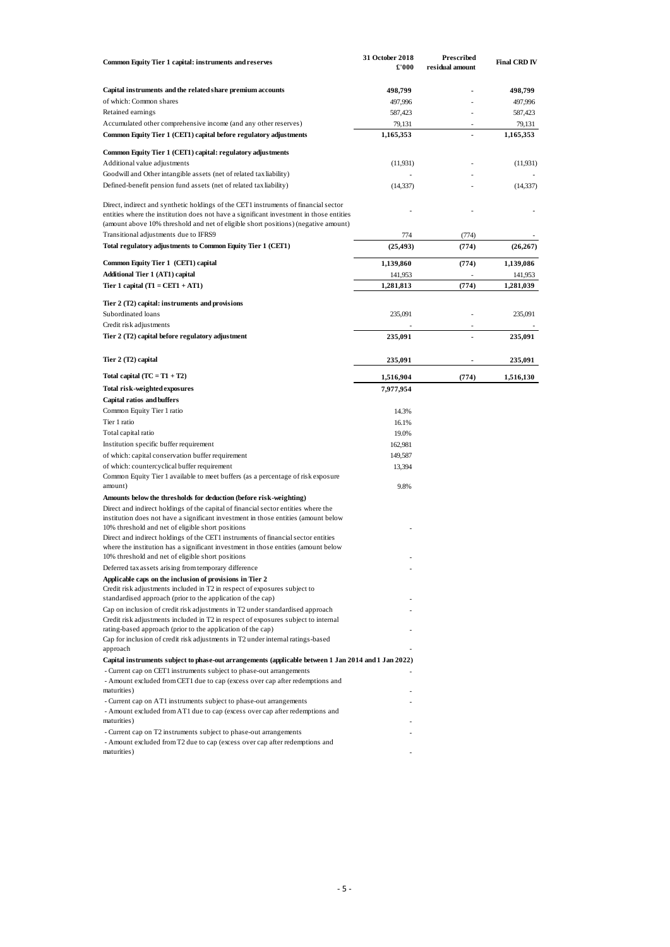| Common Equity Tier 1 capital: instruments and reserves                                                                                                                                                                                                               | 31 October 2018<br>£'000 | Prescribed<br>residual amount | <b>Final CRD IV</b> |
|----------------------------------------------------------------------------------------------------------------------------------------------------------------------------------------------------------------------------------------------------------------------|--------------------------|-------------------------------|---------------------|
| Capital instruments and the related share premium accounts                                                                                                                                                                                                           | 498,799                  |                               | 498,799             |
| of which: Common shares                                                                                                                                                                                                                                              | 497,996                  |                               | 497,996             |
| Retained earnings                                                                                                                                                                                                                                                    | 587,423                  |                               | 587,423             |
| Accumulated other comprehensive income (and any other reserves)                                                                                                                                                                                                      | 79,131                   |                               | 79,131              |
| Common Equity Tier 1 (CET1) capital before regulatory adjustments                                                                                                                                                                                                    | 1,165,353                |                               | 1,165,353           |
| Common Equity Tier 1 (CET1) capital: regulatory adjustments                                                                                                                                                                                                          |                          |                               |                     |
| Additional value adjustments                                                                                                                                                                                                                                         | (11, 931)                |                               | (11, 931)           |
| Goodwill and Other intangible assets (net of related tax liability)                                                                                                                                                                                                  |                          |                               |                     |
| Defined-benefit pension fund assets (net of related tax liability)                                                                                                                                                                                                   | (14, 337)                |                               | (14, 337)           |
| Direct, indirect and synthetic holdings of the CET1 instruments of financial sector<br>entities where the institution does not have a significant investment in those entities<br>(amount above 10% threshold and net of eligible short positions) (negative amount) |                          |                               |                     |
| Transitional adjustments due to IFRS9                                                                                                                                                                                                                                | 774                      | (774)                         |                     |
| Total regulatory adjustments to Common Equity Tier 1 (CET1)                                                                                                                                                                                                          | (25, 493)                | (774)                         | (26, 267)           |
| Common Equity Tier 1 (CET1) capital                                                                                                                                                                                                                                  | 1,139,860                | (774)                         | 1,139,086           |
| <b>Additional Tier 1 (AT1) capital</b>                                                                                                                                                                                                                               | 141,953                  |                               | 141,953             |
| Tier 1 capital $(T1 = CET1 + AT1)$                                                                                                                                                                                                                                   | 1,281,813                | (774)                         | 1,281,039           |
| Tier 2 (T2) capital: instruments and provisions<br>Subordinated loans                                                                                                                                                                                                | 235,091                  |                               | 235,091             |
| Credit risk adjustments                                                                                                                                                                                                                                              |                          |                               |                     |
| Tier 2 (T2) capital before regulatory adjustment                                                                                                                                                                                                                     | 235,091                  |                               | 235,091             |
| Tier 2 (T2) capital                                                                                                                                                                                                                                                  | 235,091                  |                               | 235,091             |
| Total capital $(TC = T1 + T2)$                                                                                                                                                                                                                                       | 1,516,904                | (774)                         | 1,516,130           |
| Total risk-weighted exposures                                                                                                                                                                                                                                        | 7,977,954                |                               |                     |
| <b>Capital ratios and buffers</b>                                                                                                                                                                                                                                    |                          |                               |                     |
| Common Equity Tier 1 ratio                                                                                                                                                                                                                                           | 14.3%                    |                               |                     |
| Tier 1 ratio                                                                                                                                                                                                                                                         | 16.1%                    |                               |                     |
| Total capital ratio                                                                                                                                                                                                                                                  | 19.0%                    |                               |                     |
| Institution specific buffer requirement                                                                                                                                                                                                                              | 162,981                  |                               |                     |
| of which: capital conservation buffer requirement                                                                                                                                                                                                                    | 149,587                  |                               |                     |
| of which: countercyclical buffer requirement                                                                                                                                                                                                                         | 13,394                   |                               |                     |
| Common Equity Tier 1 available to meet buffers (as a percentage of risk exposure<br>amount)                                                                                                                                                                          | 9.8%                     |                               |                     |
| Amounts below the thresholds for deduction (before risk-weighting)                                                                                                                                                                                                   |                          |                               |                     |
| Direct and indirect holdings of the capital of financial sector entities where the<br>institution does not have a significant investment in those entities (amount below                                                                                             |                          |                               |                     |
| 10% threshold and net of eligible short positions                                                                                                                                                                                                                    |                          |                               |                     |
| Direct and indirect holdings of the CET1 instruments of financial sector entities<br>where the institution has a significant investment in those entities (amount below                                                                                              |                          |                               |                     |
| 10% threshold and net of eligible short positions                                                                                                                                                                                                                    |                          |                               |                     |
| Deferred tax assets arising from temporary difference                                                                                                                                                                                                                |                          |                               |                     |
| Applicable caps on the inclusion of provisions in Tier 2<br>Credit risk adjustments included in T2 in respect of exposures subject to                                                                                                                                |                          |                               |                     |
| standardised approach (prior to the application of the cap)                                                                                                                                                                                                          |                          |                               |                     |
| Cap on inclusion of credit risk adjustments in T2 under standardised approach                                                                                                                                                                                        |                          |                               |                     |
| Credit risk adjustments included in T2 in respect of exposures subject to internal                                                                                                                                                                                   |                          |                               |                     |
| rating-based approach (prior to the application of the cap)                                                                                                                                                                                                          |                          |                               |                     |
| Cap for inclusion of credit risk adjustments in T2 under internal ratings-based                                                                                                                                                                                      |                          |                               |                     |
| approach                                                                                                                                                                                                                                                             |                          |                               |                     |
| Capital instruments subject to phase-out arrangements (applicable between 1 Jan 2014 and 1 Jan 2022)<br>- Current cap on CET1 instruments subject to phase-out arrangements                                                                                          |                          |                               |                     |
| - Amount excluded from CET1 due to cap (excess over cap after redemptions and<br>maturities)                                                                                                                                                                         |                          |                               |                     |
| - Current cap on AT1 instruments subject to phase-out arrangements                                                                                                                                                                                                   |                          |                               |                     |
| - Amount excluded from AT1 due to cap (excess over cap after redemptions and                                                                                                                                                                                         |                          |                               |                     |
| maturities)                                                                                                                                                                                                                                                          |                          |                               |                     |
| - Current cap on T2 instruments subject to phase-out arrangements                                                                                                                                                                                                    |                          |                               |                     |
| - Amount excluded from T2 due to cap (excess over cap after redemptions and                                                                                                                                                                                          |                          |                               |                     |
| maturities)                                                                                                                                                                                                                                                          |                          |                               |                     |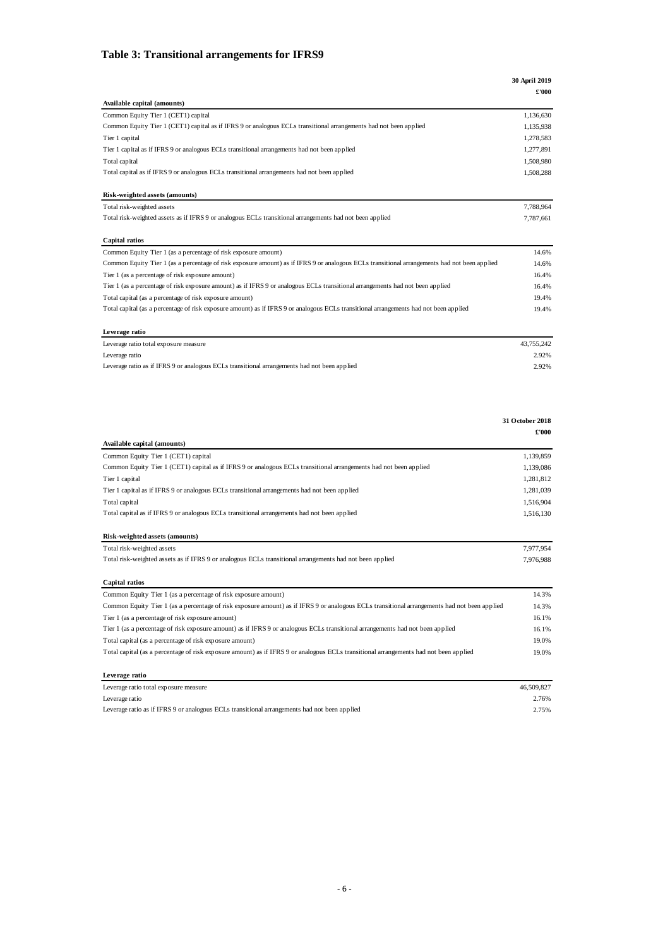#### <span id="page-8-0"></span>**Table 3: Transitional arrangements for IFRS9**

|                                                                                                                                              | 30 April 2019            |
|----------------------------------------------------------------------------------------------------------------------------------------------|--------------------------|
| Available capital (amounts)                                                                                                                  | £'000                    |
| Common Equity Tier 1 (CET1) capital                                                                                                          | 1,136,630                |
| Common Equity Tier 1 (CET1) capital as if IFRS 9 or analogous ECLs transitional arrangements had not been applied                            | 1,135,938                |
| Tier 1 capital                                                                                                                               | 1,278,583                |
| Tier 1 capital as if IFRS 9 or analogous ECLs transitional arrangements had not been applied                                                 | 1,277,891                |
| Total capital                                                                                                                                | 1,508,980                |
| Total capital as if IFRS 9 or analogous ECLs transitional arrangements had not been applied                                                  | 1,508,288                |
| Risk-weighted assets (amounts)                                                                                                               |                          |
| Total risk-weighted assets                                                                                                                   | 7,788,964                |
| Total risk-weighted assets as if IFRS 9 or analogous ECLs transitional arrangements had not been applied                                     | 7,787,661                |
| Capital ratios                                                                                                                               |                          |
| Common Equity Tier 1 (as a percentage of risk exposure amount)                                                                               | 14.6%                    |
| Common Equity Tier 1 (as a percentage of risk exposure amount) as if IFRS 9 or analogous ECLs transitional arrangements had not been applied | 14.6%                    |
| Tier 1 (as a percentage of risk exposure amount)                                                                                             | 16.4%                    |
| Tier 1 (as a percentage of risk exposure amount) as if IFRS 9 or analogous ECLs transitional arrangements had not been applied               | 16.4%                    |
| Total capital (as a percentage of risk exposure amount)                                                                                      | 19.4%                    |
| Total capital (as a percentage of risk exposure amount) as if IFRS 9 or analogous ECLs transitional arrangements had not been applied        | 19.4%                    |
| Leverage ratio                                                                                                                               |                          |
| Leverage ratio total exposure measure                                                                                                        | 43,755,242               |
| Leverage ratio                                                                                                                               | 2.92%                    |
| Leverage ratio as if IFRS 9 or analogous ECLs transitional arrangements had not been applied                                                 | 2.92%                    |
|                                                                                                                                              |                          |
|                                                                                                                                              |                          |
|                                                                                                                                              | 31 October 2018<br>£'000 |
| Available capital (amounts)                                                                                                                  |                          |
| Common Equity Tier 1 (CET1) capital                                                                                                          | 1,139,859                |
| Common Equity Tier 1 (CET1) capital as if IFRS 9 or analogous ECLs transitional arrangements had not been applied                            | 1,139,086                |
| Tier 1 capital                                                                                                                               | 1,281,812                |
| Tier 1 capital as if IFRS 9 or analogous ECLs transitional arrangements had not been applied                                                 | 1,281,039                |
| Total capital                                                                                                                                | 1,516,904                |
| Total capital as if IFRS 9 or analogous ECLs transitional arrangements had not been applied                                                  | 1,516,130                |
| Risk-weighted assets (amounts)                                                                                                               |                          |
| Total risk-weighted assets                                                                                                                   | 7,977,954                |
| Total risk-weighted assets as if IFRS 9 or analogous ECLs transitional arrangements had not been applied                                     | 7,976,988                |
| Capital ratios                                                                                                                               |                          |
| Common Equity Tier 1 (as a percentage of risk exposure amount)                                                                               | 14.3%                    |
| Common Equity Tier 1 (as a percentage of risk exposure amount) as if IFRS 9 or analogous ECLs transitional arrangements had not been applied | 14.3%                    |
| Tier 1 (as a percentage of risk exposure amount)                                                                                             | 16.1%                    |
| Tier 1 (as a percentage of risk exposure amount) as if IFRS 9 or analogous ECLs transitional arrangements had not been applied               | 16.1%                    |
| Total capital (as a percentage of risk exposure amount)                                                                                      | 19.0%                    |
| Total capital (as a percentage of risk exposure amount) as if IFRS 9 or analogous ECLs transitional arrangements had not been applied        | 19.0%                    |
| Leverage ratio                                                                                                                               |                          |

Leverage ratio 2.76% Leverage ratio as if IFRS 9 or analogous ECLs transitional arrangements had not been applied 2.75%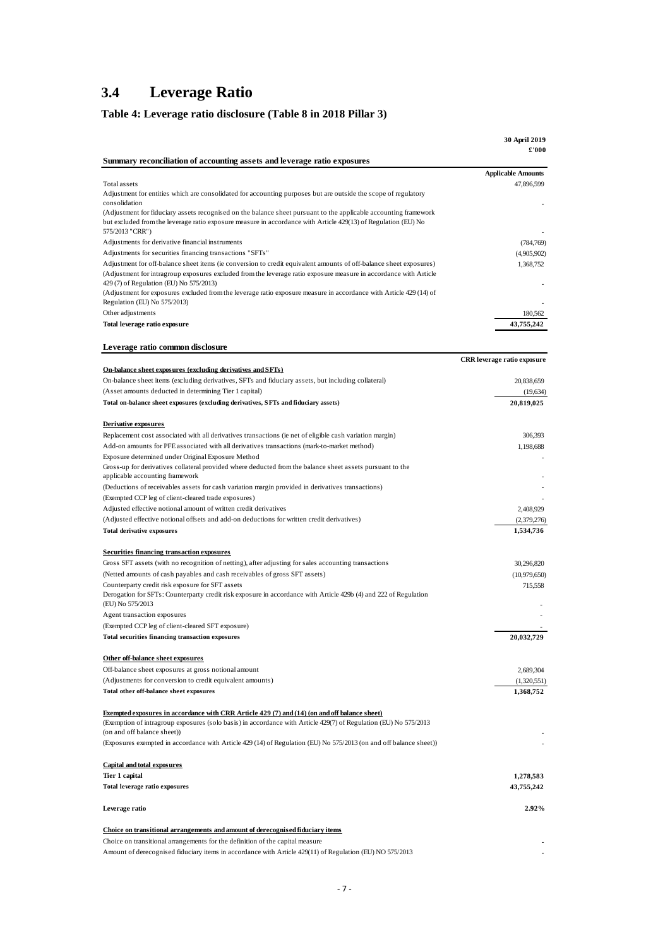### <span id="page-9-0"></span>**3.4 Leverage Ratio**

### <span id="page-9-1"></span>**Table 4: Leverage ratio disclosure (Table 8 in 2018 Pillar 3)**

|                                                                                                                                                                                                                                                       | 30 April 2019<br>£'000      |
|-------------------------------------------------------------------------------------------------------------------------------------------------------------------------------------------------------------------------------------------------------|-----------------------------|
| Summary reconciliation of accounting assets and leverage ratio exposures                                                                                                                                                                              |                             |
|                                                                                                                                                                                                                                                       | <b>Applicable Amounts</b>   |
| Total assets<br>Adjustment for entities which are consolidated for accounting purposes but are outside the scope of regulatory<br>consolidation                                                                                                       | 47,896,599                  |
| (Adjustment for fiduciary assets recognised on the balance sheet pursuant to the applicable accounting framework<br>but excluded from the leverage ratio exposure measure in accordance with Article 429(13) of Regulation (EU) No<br>575/2013 "CRR") |                             |
| Adjustments for derivative financial instruments                                                                                                                                                                                                      | (784, 769)                  |
| Adjustments for securities financing transactions "SFTs"                                                                                                                                                                                              | (4,905,902)                 |
| Adjustment for off-balance sheet items (ie conversion to credit equivalent amounts of off-balance sheet exposures)                                                                                                                                    | 1,368,752                   |
| (Adjustment for intragroup exposures excluded from the leverage ratio exposure measure in accordance with Article<br>429 (7) of Regulation (EU) No 575/2013)                                                                                          |                             |
| (Adjustment for exposures excluded from the leverage ratio exposure measure in accordance with Article 429 (14) of<br>Regulation (EU) No 575/2013)                                                                                                    |                             |
| Other adjustments                                                                                                                                                                                                                                     | 180,562                     |
| Total leverage ratio exposure                                                                                                                                                                                                                         | 43,755,242                  |
| Leverage ratio common disclosure                                                                                                                                                                                                                      |                             |
|                                                                                                                                                                                                                                                       | CRR leverage ratio exposure |
| On-balance sheet exposures (excluding derivatives and SFTs)                                                                                                                                                                                           |                             |
| On-balance sheet items (excluding derivatives, SFTs and fiduciary assets, but including collateral)                                                                                                                                                   | 20,838,659                  |
| (Asset amounts deducted in determining Tier 1 capital)                                                                                                                                                                                                | (19, 634)                   |
| Total on-balance sheet exposures (excluding derivatives, SFTs and fiduciary assets)                                                                                                                                                                   | 20,819,025                  |
| Derivative exposures                                                                                                                                                                                                                                  |                             |
| Replacement cost associated with all derivatives transactions (ie net of eligible cash variation margin)                                                                                                                                              | 306,393                     |
| Add-on amounts for PFE associated with all derivatives transactions (mark-to-market method)                                                                                                                                                           | 1,198,688                   |
| Exposure determined under Original Exposure Method                                                                                                                                                                                                    |                             |
| Gross-up for derivatives collateral provided where deducted from the balance sheet assets pursuant to the                                                                                                                                             |                             |
| applicable accounting framework                                                                                                                                                                                                                       |                             |
| (Deductions of receivables assets for cash variation margin provided in derivatives transactions)                                                                                                                                                     |                             |
| (Exempted CCP leg of client-cleared trade exposures)                                                                                                                                                                                                  |                             |
| Adjusted effective notional amount of written credit derivatives                                                                                                                                                                                      | 2,408,929                   |
| (Adjusted effective notional offsets and add-on deductions for written credit derivatives)<br>Total derivative exposures                                                                                                                              | (2,379,276)<br>1,534,736    |
|                                                                                                                                                                                                                                                       |                             |
| <b>Securities financing transaction exposures</b>                                                                                                                                                                                                     |                             |
| Gross SFT assets (with no recognition of netting), after adjusting for sales accounting transactions                                                                                                                                                  | 30,296,820                  |
| (Netted amounts of cash payables and cash receivables of gross SFT assets)                                                                                                                                                                            | (10,979,650)                |
| Counterparty credit risk exposure for SFT assets<br>Derogation for SFTs: Counterparty credit risk exposure in accordance with Article 429b (4) and 222 of Regulation<br>(EU) No 575/2013                                                              | 715,558                     |
| Agent transaction exposures                                                                                                                                                                                                                           |                             |
| (Exempted CCP leg of client-cleared SFT exposure)                                                                                                                                                                                                     |                             |
| Total securities financing transaction exposures                                                                                                                                                                                                      | 20,032,729                  |
| Other off-balance sheet exposures                                                                                                                                                                                                                     |                             |
| Off-balance sheet exposures at gross notional amount                                                                                                                                                                                                  | 2,689,304                   |
| (Adjustments for conversion to credit equivalent amounts)                                                                                                                                                                                             | (1,320,551)                 |
| Total other off-balance sheet exposures                                                                                                                                                                                                               | 1,368,752                   |
| <b>Exempted exposures in accordance with CRR Article 429 (7) and (14) (on and off balance sheet)</b><br>(Exemption of intragroup exposures (solo basis) in accordance with Article 429(7) of Regulation (EU) No 575/2013                              |                             |
| (on and off balance sheet))<br>(Exposures exempted in accordance with Article 429 (14) of Regulation (EU) No 575/2013 (on and off balance sheet))                                                                                                     |                             |
| <b>Capital and total exposures</b>                                                                                                                                                                                                                    |                             |
| Tier 1 capital                                                                                                                                                                                                                                        | 1,278,583                   |
| Total leverage ratio exposures                                                                                                                                                                                                                        | 43,755,242                  |
| Leverage ratio                                                                                                                                                                                                                                        | 2.92%                       |
|                                                                                                                                                                                                                                                       |                             |
| Choice on transitional arrangements and amount of derecognised fiduciary items<br>Choice on transitional arrangements for the definition of the capital measure                                                                                       |                             |
| Amount of derecognised fiduciary items in accordance with Article 429(11) of Regulation (EU) NO 575/2013                                                                                                                                              |                             |
|                                                                                                                                                                                                                                                       |                             |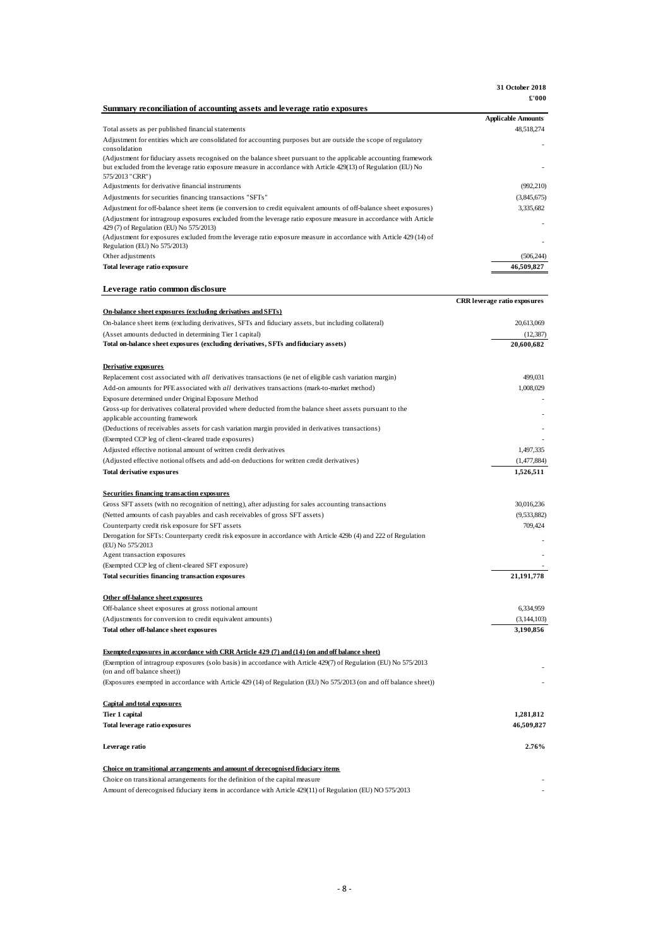**31 October 2018 £'000**

| Summary reconciliation of accounting assets and leverage ratio exposures                                                                                     | r ww                                |
|--------------------------------------------------------------------------------------------------------------------------------------------------------------|-------------------------------------|
|                                                                                                                                                              | <b>Applicable Amounts</b>           |
| Total assets as per published financial statements                                                                                                           | 48,518,274                          |
| Adjustment for entities which are consolidated for accounting purposes but are outside the scope of regulatory                                               |                                     |
| consolidation<br>(Adjustment for fiduciary assets recognised on the balance sheet pursuant to the applicable accounting framework                            |                                     |
| but excluded from the leverage ratio exposure measure in accordance with Article 429(13) of Regulation (EU) No                                               |                                     |
| 575/2013 "CRR")                                                                                                                                              |                                     |
| Adjustments for derivative financial instruments                                                                                                             | (992, 210)                          |
| Adjustments for securities financing transactions "SFTs"                                                                                                     | (3,845,675)                         |
| Adjustment for off-balance sheet items (ie conversion to credit equivalent amounts of off-balance sheet exposures)                                           | 3,335,682                           |
| (Adjustment for intragroup exposures excluded from the leverage ratio exposure measure in accordance with Article<br>429 (7) of Regulation (EU) No 575/2013) |                                     |
| (Adjustment for exposures excluded from the leverage ratio exposure measure in accordance with Article 429 (14) of                                           |                                     |
| Regulation (EU) No 575/2013)                                                                                                                                 |                                     |
| Other adjustments                                                                                                                                            | (506, 244)                          |
| Total leverage ratio exposure                                                                                                                                | 46.509.827                          |
| Leverage ratio common disclosure                                                                                                                             |                                     |
|                                                                                                                                                              | <b>CRR</b> leverage ratio exposures |
| On-balance sheet exposures (excluding derivatives and SFTs)                                                                                                  |                                     |
| On-balance sheet items (excluding derivatives, SFTs and fiduciary assets, but including collateral)                                                          | 20,613,069                          |
| (Asset amounts deducted in determining Tier 1 capital)                                                                                                       | (12, 387)                           |
| Total on-balance sheet exposures (excluding derivatives, SFTs and fiduciary assets)                                                                          | 20,600,682                          |
|                                                                                                                                                              |                                     |
| Derivative exposures                                                                                                                                         |                                     |
| Replacement cost associated with all derivatives transactions (ie net of eligible cash variation margin)                                                     | 499,031                             |
| Add-on amounts for PFE associated with all derivatives transactions (mark-to-market method)                                                                  | 1.008.029                           |
| Exposure determined under Original Exposure Method                                                                                                           |                                     |
| Gross-up for derivatives collateral provided where deducted from the balance sheet assets pursuant to the<br>applicable accounting framework                 |                                     |
| (Deductions of receivables assets for cash variation margin provided in derivatives transactions)                                                            |                                     |
| (Exempted CCP leg of client-cleared trade exposures)                                                                                                         |                                     |
| Adjusted effective notional amount of written credit derivatives                                                                                             | 1,497,335                           |
| (Adjusted effective notional offsets and add-on deductions for written credit derivatives)                                                                   | (1,477,884)                         |
| <b>Total derivative exposures</b>                                                                                                                            | 1,526,511                           |
|                                                                                                                                                              |                                     |
| <b>Securities financing transaction exposures</b>                                                                                                            |                                     |
| Gross SFT assets (with no recognition of netting), after adjusting for sales accounting transactions                                                         | 30,016,236                          |
| (Netted amounts of cash payables and cash receivables of gross SFT assets)                                                                                   | (9,533,882)                         |
| Counterparty credit risk exposure for SFT assets                                                                                                             | 709,424                             |
| Derogation for SFTs: Counterparty credit risk exposure in accordance with Article 429b (4) and 222 of Regulation<br>(EU) No 575/2013                         |                                     |
| Agent transaction exposures                                                                                                                                  |                                     |
| (Exempted CCP leg of client-cleared SFT exposure)                                                                                                            |                                     |
| Total securities financing transaction exposures                                                                                                             | 21,191,778                          |
| Other off-balance sheet exposures                                                                                                                            |                                     |
| Off-balance sheet exposures at gross notional amount                                                                                                         | 6,334,959                           |
| (Adjustments for conversion to credit equivalent amounts)                                                                                                    | (3, 144, 103)                       |
| Total other off-balance sheet exposures                                                                                                                      | 3,190,856                           |
|                                                                                                                                                              |                                     |
| <b>Exempted exposures in accordance with CRR Article 429 (7) and (14) (on and off balance sheet)</b>                                                         |                                     |
| (Exemption of intragroup exposures (solo basis) in accordance with Article 429(7) of Regulation (EU) No 575/2013<br>(on and off balance sheet))              |                                     |
| (Exposures exempted in accordance with Article 429 (14) of Regulation (EU) No 575/2013 (on and off balance sheet))                                           |                                     |
|                                                                                                                                                              |                                     |
| <b>Capital and total exposures</b>                                                                                                                           |                                     |
| Tier 1 capital                                                                                                                                               | 1,281,812                           |
| Total leverage ratio exposures                                                                                                                               | 46,509,827                          |
|                                                                                                                                                              |                                     |
| Leverage ratio                                                                                                                                               | 2.76%                               |
| Choice on transitional arrangements and amount of derecognised fiduciary items                                                                               |                                     |
| Choice on transitional arrangements for the definition of the capital measure                                                                                |                                     |

Amount of derecognised fiduciary items in accordance with Article 429(11) of Regulation (EU) NO 575/2013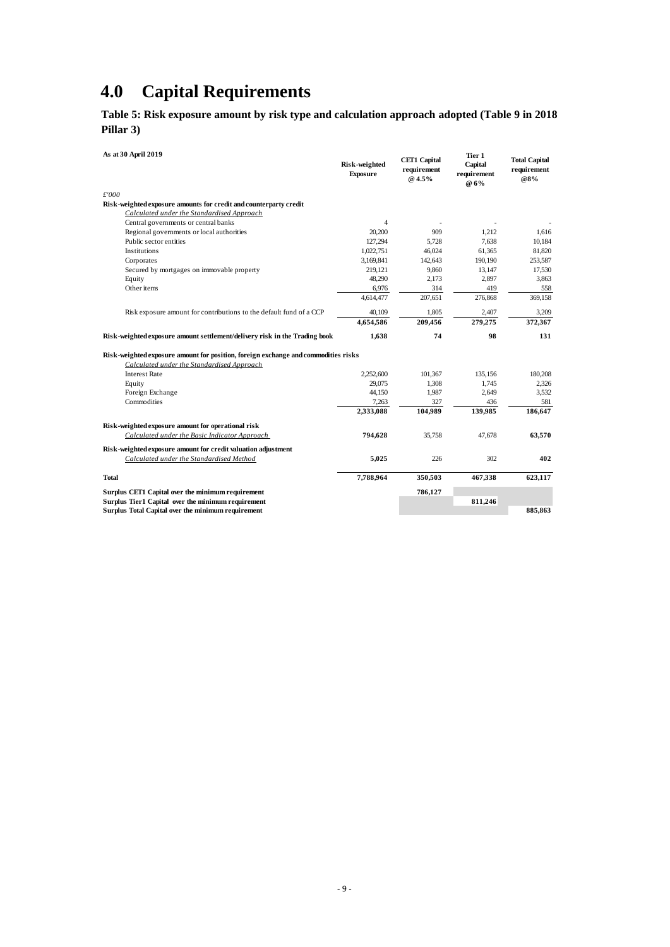# <span id="page-11-0"></span>**4.0 Capital Requirements**

<span id="page-11-1"></span>**Table 5: Risk exposure amount by risk type and calculation approach adopted (Table 9 in 2018 Pillar 3)**

| .  . <i>.</i>                                      |                                                                                    |                                  |                                              |                                          |                                            |
|----------------------------------------------------|------------------------------------------------------------------------------------|----------------------------------|----------------------------------------------|------------------------------------------|--------------------------------------------|
| As at 30 April 2019                                |                                                                                    | Risk-weighted<br><b>Exposure</b> | <b>CET1 Capital</b><br>requirement<br>@ 4.5% | Tier 1<br>Capital<br>requirement<br>@ 6% | <b>Total Capital</b><br>requirement<br>@8% |
| £'000                                              |                                                                                    |                                  |                                              |                                          |                                            |
|                                                    | Risk-weighted exposure amounts for credit and counterparty credit                  |                                  |                                              |                                          |                                            |
|                                                    | Calculated under the Standardised Approach                                         |                                  |                                              |                                          |                                            |
| Central governments or central banks               |                                                                                    | $\overline{4}$                   |                                              |                                          |                                            |
| Regional governments or local authorities          |                                                                                    | 20.200                           | 909                                          | 1.212                                    | 1.616                                      |
| Public sector entities                             |                                                                                    | 127.294                          | 5.728                                        | 7.638                                    | 10,184                                     |
| Institutions                                       |                                                                                    | 1.022.751                        | 46.024                                       | 61.365                                   | 81,820                                     |
| Corporates                                         |                                                                                    | 3,169,841                        | 142,643                                      | 190.190                                  | 253,587                                    |
|                                                    | Secured by mortgages on immovable property                                         | 219,121                          | 9,860                                        | 13,147                                   | 17,530                                     |
| Equity                                             |                                                                                    | 48.290                           | 2.173                                        | 2,897                                    | 3,863                                      |
| Other items                                        |                                                                                    | 6,976                            | 314                                          | 419                                      | 558                                        |
|                                                    |                                                                                    | 4,614,477                        | 207,651                                      | 276,868                                  | 369,158                                    |
|                                                    | Risk exposure amount for contributions to the default fund of a CCP                | 40,109                           | 1,805                                        | 2,407                                    | 3,209                                      |
|                                                    |                                                                                    | 4,654,586                        | 209,456                                      | 279,275                                  | 372,367                                    |
|                                                    | Risk-weighted exposure amount settlement/delivery risk in the Trading book         | 1,638                            | 74                                           | 98                                       | 131                                        |
|                                                    | Risk-weighted exposure amount for position, foreign exchange and commodities risks |                                  |                                              |                                          |                                            |
|                                                    | Calculated under the Standardised Approach                                         |                                  |                                              |                                          |                                            |
| <b>Interest Rate</b>                               |                                                                                    | 2,252,600                        | 101,367                                      | 135,156                                  | 180,208                                    |
| Equity                                             |                                                                                    | 29,075                           | 1,308                                        | 1,745                                    | 2,326                                      |
| Foreign Exchange                                   |                                                                                    | 44,150                           | 1,987                                        | 2.649                                    | 3,532                                      |
| Commodities                                        |                                                                                    | 7,263                            | 327                                          | 436                                      | 581                                        |
|                                                    |                                                                                    |                                  |                                              |                                          |                                            |
|                                                    |                                                                                    | 2,333,088                        | 104,989                                      | 139,985                                  | 186,647                                    |
| Risk-weighted exposure amount for operational risk |                                                                                    |                                  |                                              |                                          |                                            |
|                                                    | Calculated under the Basic Indicator Approach                                      | 794,628                          | 35,758                                       | 47.678                                   | 63,570                                     |
|                                                    | Risk-weighted exposure amount for credit valuation adjustment                      |                                  |                                              |                                          |                                            |
|                                                    | Calculated under the Standardised Method                                           | 5,025                            | 226                                          | 302                                      | 402                                        |
| <b>Total</b>                                       |                                                                                    | 7,788,964                        | 350,503                                      | 467,338                                  | 623,117                                    |
| Surplus CET1 Capital over the minimum requirement  |                                                                                    |                                  | 786,127                                      |                                          |                                            |
| Surplus Tier1 Capital over the minimum requirement |                                                                                    |                                  |                                              | 811,246                                  |                                            |
| Surplus Total Capital over the minimum requirement |                                                                                    |                                  |                                              |                                          | 885,863                                    |
|                                                    |                                                                                    |                                  |                                              |                                          |                                            |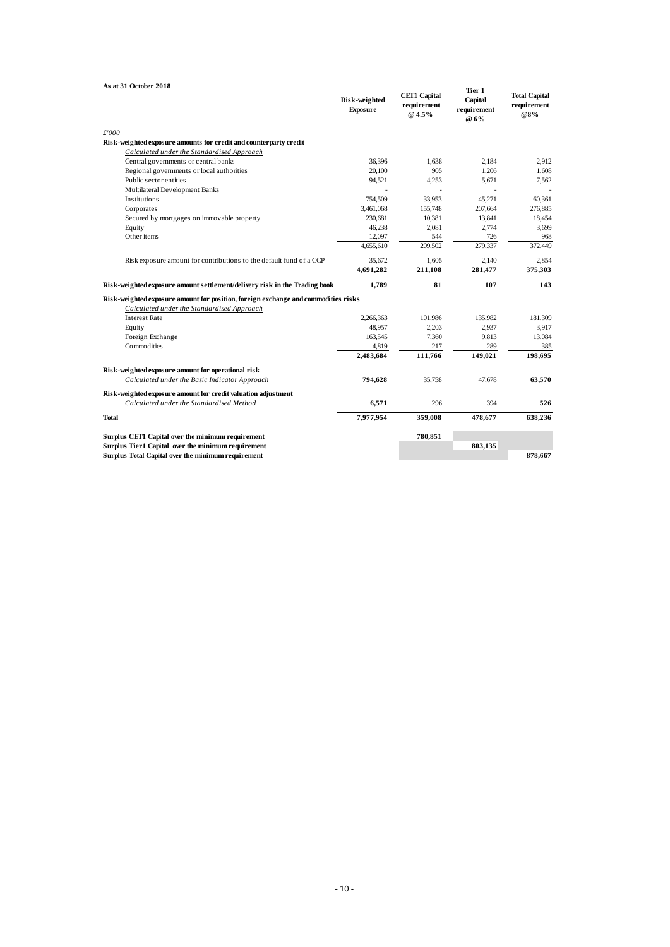| As at 31 October 2018                                                              |                                  |                                              |                                          |                                            |
|------------------------------------------------------------------------------------|----------------------------------|----------------------------------------------|------------------------------------------|--------------------------------------------|
|                                                                                    | Risk-weighted<br><b>Exposure</b> | <b>CET1 Capital</b><br>requirement<br>@ 4.5% | Tier 1<br>Capital<br>requirement<br>@ 6% | <b>Total Capital</b><br>requirement<br>@8% |
| £'000                                                                              |                                  |                                              |                                          |                                            |
| Risk-weighted exposure amounts for credit and counterparty credit                  |                                  |                                              |                                          |                                            |
| Calculated under the Standardised Approach                                         |                                  |                                              |                                          |                                            |
| Central governments or central banks                                               | 36,396                           | 1.638                                        | 2.184                                    | 2.912                                      |
| Regional governments or local authorities                                          | 20.100                           | 905                                          | 1.206                                    | 1,608                                      |
| Public sector entities                                                             | 94,521                           | 4,253                                        | 5.671                                    | 7,562                                      |
| Multilateral Development Banks                                                     |                                  |                                              |                                          |                                            |
| Institutions                                                                       | 754,509                          | 33.953                                       | 45.271                                   | 60.361                                     |
| Corporates                                                                         | 3,461,068                        | 155,748                                      | 207,664                                  | 276,885                                    |
| Secured by mortgages on immovable property                                         | 230,681                          | 10,381                                       | 13,841                                   | 18,454                                     |
| Equity                                                                             | 46,238                           | 2,081                                        | 2,774                                    | 3,699                                      |
| Other items                                                                        | 12,097                           | 544                                          | 726                                      | 968                                        |
|                                                                                    | 4,655,610                        | 209,502                                      | 279,337                                  | 372,449                                    |
| Risk exposure amount for contributions to the default fund of a CCP                | 35,672                           | 1,605                                        | 2,140                                    | 2,854                                      |
|                                                                                    | 4,691,282                        | 211.108                                      | 281.477                                  | 375,303                                    |
| Risk-weighted exposure amount settlement/delivery risk in the Trading book         | 1,789                            | 81                                           | 107                                      | 143                                        |
| Risk-weighted exposure amount for position, foreign exchange and commodities risks |                                  |                                              |                                          |                                            |
| Calculated under the Standardised Approach                                         |                                  |                                              |                                          |                                            |
| <b>Interest Rate</b>                                                               | 2,266,363                        | 101,986                                      | 135,982                                  | 181,309                                    |
| Equity                                                                             | 48.957                           | 2,203                                        | 2.937                                    | 3,917                                      |
| Foreign Exchange                                                                   | 163.545                          | 7,360                                        | 9.813                                    | 13,084                                     |
| Commodities                                                                        | 4,819                            | 217                                          | 289                                      | 385                                        |
|                                                                                    | 2,483,684                        | 111,766                                      | 149,021                                  | 198.695                                    |
| Risk-weighted exposure amount for operational risk                                 |                                  |                                              |                                          |                                            |
| Calculated under the Basic Indicator Approach                                      | 794,628                          | 35,758                                       | 47.678                                   | 63,570                                     |
| Risk-weighted exposure amount for credit valuation adjustment                      |                                  |                                              |                                          |                                            |
| Calculated under the Standardised Method                                           | 6,571                            | 296                                          | 394                                      | 526                                        |
| <b>Total</b>                                                                       | 7,977,954                        | 359,008                                      | 478,677                                  | 638,236                                    |
| Surplus CET1 Capital over the minimum requirement                                  |                                  | 780,851                                      |                                          |                                            |
| Surplus Tier1 Capital over the minimum requirement                                 |                                  |                                              | 803,135                                  |                                            |
| Surplus Total Capital over the minimum requirement                                 |                                  |                                              |                                          | 878,667                                    |
|                                                                                    |                                  |                                              |                                          |                                            |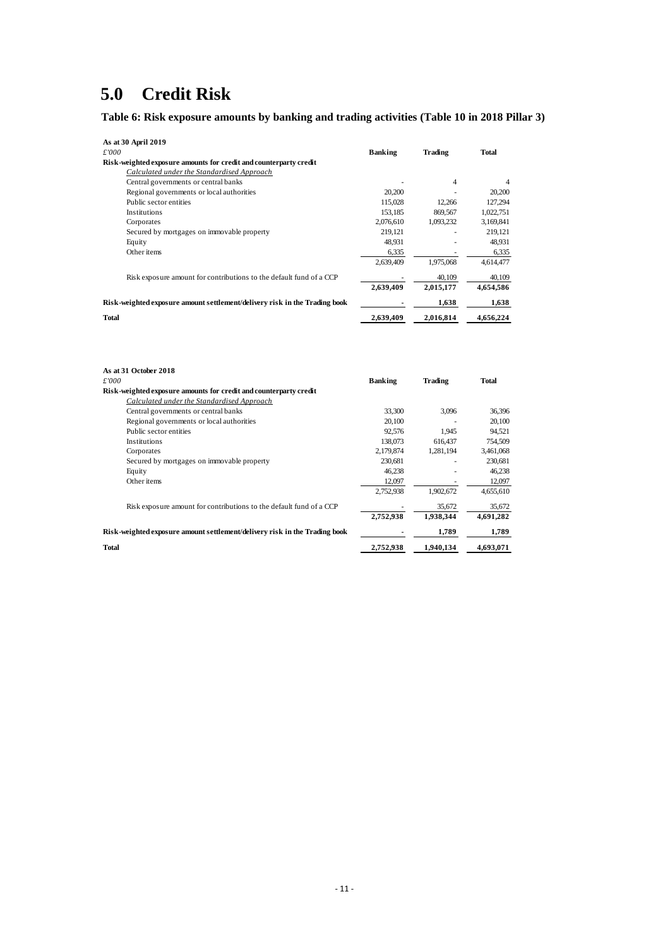# <span id="page-13-0"></span>**5.0 Credit Risk**

<span id="page-13-1"></span>**Table 6: Risk exposure amounts by banking and trading activities (Table 10 in 2018 Pillar 3)**

| As at 30 April 2019                                                        |                |                |              |
|----------------------------------------------------------------------------|----------------|----------------|--------------|
| £'000                                                                      | <b>Banking</b> | Trading        | <b>Total</b> |
| Risk-weighted exposure amounts for credit and counterparty credit          |                |                |              |
| Calculated under the Standardised Approach                                 |                |                |              |
| Central governments or central banks                                       |                | $\overline{4}$ | 4            |
| Regional governments or local authorities                                  | 20,200         |                | 20,200       |
| Public sector entities                                                     | 115,028        | 12.266         | 127.294      |
| Institutions                                                               | 153.185        | 869.567        | 1,022,751    |
| Corporates                                                                 | 2,076,610      | 1,093,232      | 3,169,841    |
| Secured by mortgages on immovable property                                 | 219,121        |                | 219,121      |
| Equity                                                                     | 48,931         |                | 48,931       |
| Other items                                                                | 6,335          |                | 6,335        |
|                                                                            | 2,639,409      | 1,975,068      | 4,614,477    |
| Risk exposure amount for contributions to the default fund of a CCP        |                | 40,109         | 40,109       |
|                                                                            | 2,639,409      | 2,015,177      | 4,654,586    |
| Risk-weighted exposure amount settlement/delivery risk in the Trading book |                | 1,638          | 1,638        |
| <b>Total</b>                                                               | 2,639,409      | 2,016,814      | 4,656,224    |

| As at 31 October 2018                                                      |                |           |           |
|----------------------------------------------------------------------------|----------------|-----------|-----------|
| £'000                                                                      | <b>Banking</b> | Trading   | Total     |
| Risk-weighted exposure amounts for credit and counterparty credit          |                |           |           |
| Calculated under the Standardised Approach                                 |                |           |           |
| Central governments or central banks                                       | 33,300         | 3,096     | 36,396    |
| Regional governments or local authorities                                  | 20,100         |           | 20,100    |
| Public sector entities                                                     | 92,576         | 1,945     | 94,521    |
| <b>Institutions</b>                                                        | 138,073        | 616,437   | 754,509   |
| Corporates                                                                 | 2,179,874      | 1,281,194 | 3,461,068 |
| Secured by mortgages on immovable property                                 | 230,681        |           | 230,681   |
| Equity                                                                     | 46,238         |           | 46,238    |
| Other items                                                                | 12,097         |           | 12,097    |
|                                                                            | 2,752,938      | 1,902,672 | 4,655,610 |
| Risk exposure amount for contributions to the default fund of a CCP        |                | 35,672    | 35,672    |
|                                                                            | 2,752,938      | 1,938,344 | 4,691,282 |
| Risk-weighted exposure amount settlement/delivery risk in the Trading book |                | 1,789     | 1,789     |
| <b>Total</b>                                                               | 2.752.938      | 1.940.134 | 4.693.071 |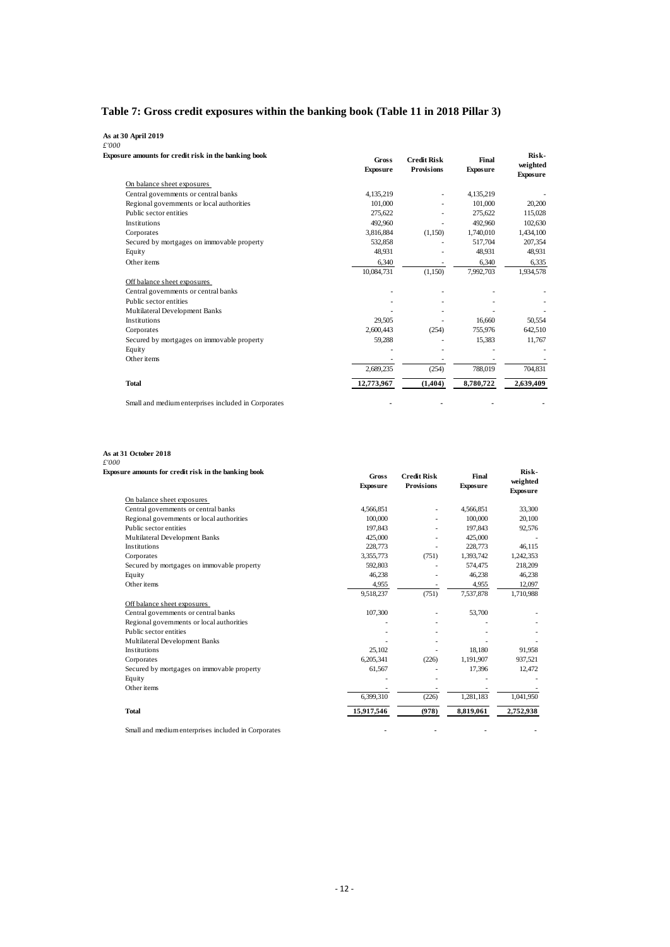### <span id="page-14-0"></span>**Table 7: Gross credit exposures within the banking book (Table 11 in 2018 Pillar 3)**

#### **As at 30 April 2019**

| Exposure amounts for credit risk in the banking book | <b>Gross</b><br><b>Exposure</b> | <b>Credit Risk</b><br><b>Provisions</b> | Final<br><b>Exposure</b> | Risk-<br>weighted<br><b>Exposure</b> |
|------------------------------------------------------|---------------------------------|-----------------------------------------|--------------------------|--------------------------------------|
| On balance sheet exposures                           |                                 |                                         |                          |                                      |
| Central governments or central banks                 | 4,135,219                       |                                         | 4,135,219                |                                      |
| Regional governments or local authorities            | 101,000                         |                                         | 101.000                  | 20,200                               |
| Public sector entities                               | 275.622                         |                                         | 275.622                  | 115,028                              |
| <b>Institutions</b>                                  | 492,960                         |                                         | 492,960                  | 102.630                              |
| Corporates                                           | 3,816,884                       | (1,150)                                 | 1,740,010                | 1,434,100                            |
| Secured by mortgages on immovable property           | 532,858                         |                                         | 517,704                  | 207,354                              |
| Equity                                               | 48,931                          |                                         | 48,931                   | 48,931                               |
| Other items                                          | 6.340                           |                                         | 6,340                    | 6.335                                |
|                                                      | 10,084,731                      | (1,150)                                 | 7,992,703                | 1,934,578                            |
| Off balance sheet exposures                          |                                 |                                         |                          |                                      |
| Central governments or central banks                 |                                 |                                         |                          |                                      |
| Public sector entities                               |                                 |                                         |                          |                                      |
| Multilateral Development Banks                       |                                 |                                         |                          |                                      |
| <b>Institutions</b>                                  | 29.505                          |                                         | 16.660                   | 50,554                               |
| Corporates                                           | 2,600,443                       | (254)                                   | 755,976                  | 642,510                              |
| Secured by mortgages on immovable property           | 59,288                          |                                         | 15,383                   | 11,767                               |
| Equity                                               |                                 |                                         |                          |                                      |
| Other items                                          |                                 |                                         |                          |                                      |
|                                                      | 2,689,235                       | (254)                                   | 788,019                  | 704,831                              |
| <b>Total</b>                                         | 12,773,967                      | (1, 404)                                | 8,780,722                | 2,639,409                            |

#### **As at 31 October 2018**

| Exposure amounts for credit risk in the banking book | <b>Gross</b><br><b>Exposure</b> | <b>Credit Risk</b><br><b>Provisions</b> | Final<br><b>Exposure</b> | Risk-<br>weighted<br><b>Exposure</b> |
|------------------------------------------------------|---------------------------------|-----------------------------------------|--------------------------|--------------------------------------|
| On balance sheet exposures                           |                                 |                                         |                          |                                      |
| Central governments or central banks                 | 4,566,851                       | ٠                                       | 4,566,851                | 33,300                               |
| Regional governments or local authorities            | 100,000                         |                                         | 100,000                  | 20,100                               |
| Public sector entities                               | 197,843                         |                                         | 197,843                  | 92,576                               |
| Multilateral Development Banks                       | 425,000                         |                                         | 425,000                  |                                      |
| <b>Institutions</b>                                  | 228,773                         |                                         | 228,773                  | 46,115                               |
| Corporates                                           | 3,355,773                       | (751)                                   | 1,393,742                | 1,242,353                            |
| Secured by mortgages on immovable property           | 592,803                         |                                         | 574,475                  | 218,209                              |
| Equity                                               | 46,238                          |                                         | 46,238                   | 46,238                               |
| Other items                                          | 4,955                           |                                         | 4,955                    | 12,097                               |
|                                                      | 9,518,237                       | (751)                                   | 7,537,878                | 1,710,988                            |
| Off balance sheet exposures                          |                                 |                                         |                          |                                      |
| Central governments or central banks                 | 107,300                         |                                         | 53,700                   |                                      |
| Regional governments or local authorities            |                                 |                                         |                          |                                      |
| Public sector entities                               |                                 |                                         |                          |                                      |
| Multilateral Development Banks                       |                                 |                                         |                          |                                      |
| <b>Institutions</b>                                  | 25,102                          |                                         | 18.180                   | 91,958                               |
| Corporates                                           | 6.205.341                       | (226)                                   | 1.191.907                | 937,521                              |
| Secured by mortgages on immovable property           | 61,567                          |                                         | 17,396                   | 12,472                               |
| Equity                                               |                                 |                                         |                          |                                      |
| Other items                                          |                                 |                                         |                          |                                      |
|                                                      | 6,399,310                       | (226)                                   | 1,281,183                | 1,041,950                            |
| <b>Total</b>                                         | 15,917,546                      | (978)                                   | 8,819,061                | 2,752,938                            |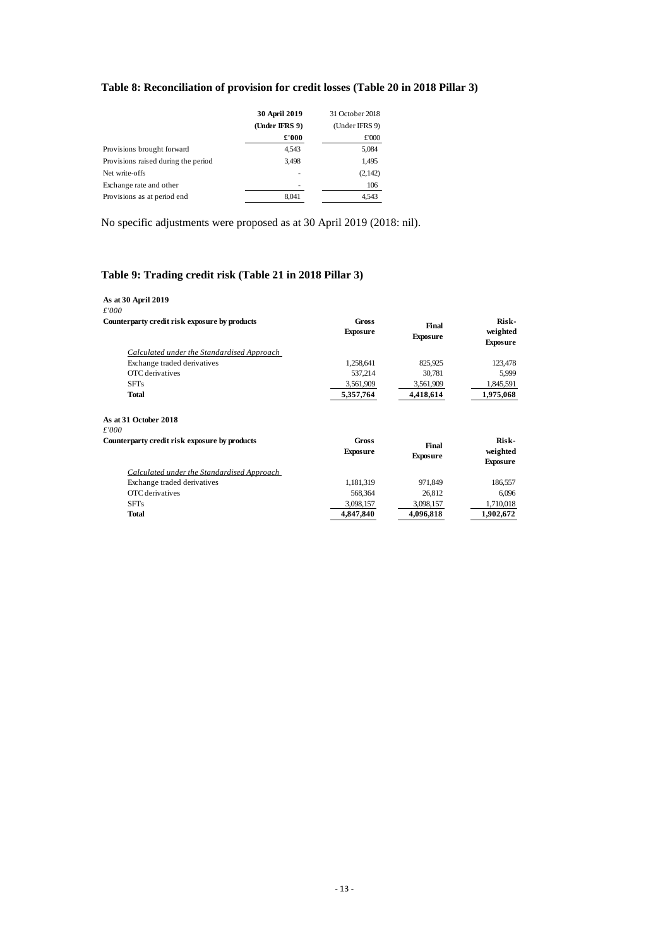### <span id="page-15-0"></span>**Table 8: Reconciliation of provision for credit losses (Table 20 in 2018 Pillar 3)**

|                                     | 30 April 2019<br>(Under IFRS 9)<br>£'000 | 31 October 2018<br>(Under IFRS 9)<br>£'000 |
|-------------------------------------|------------------------------------------|--------------------------------------------|
| Provisions brought forward          | 4,543                                    | 5,084                                      |
| Provisions raised during the period | 3,498                                    | 1,495                                      |
| Net write-offs                      |                                          | (2, 142)                                   |
| Exchange rate and other             |                                          | 106                                        |
| Provisions as at period end         | 8.041                                    | 4,543                                      |

No specific adjustments were proposed as at 30 April 2019 (2018: nil).

#### <span id="page-15-1"></span>**Table 9: Trading credit risk (Table 21 in 2018 Pillar 3)**

| As at 30 April 2019<br>£'000                      |                          |                          |                                      |
|---------------------------------------------------|--------------------------|--------------------------|--------------------------------------|
| Counterparty credit risk exposure by products     | Gross<br><b>Exposure</b> | Final<br><b>Exposure</b> | Risk-<br>weighted<br><b>Exposure</b> |
| Calculated under the Standardised Approach        |                          |                          |                                      |
| Exchange traded derivatives                       | 1,258,641                | 825,925                  | 123,478                              |
| OTC derivatives                                   | 537,214                  | 30,781                   | 5,999                                |
| <b>SFTs</b>                                       | 3,561,909                | 3,561,909                | 1,845,591                            |
| <b>Total</b>                                      | 5,357,764                | 4,418,614                | 1,975,068                            |
| As at 31 October 2018                             |                          |                          |                                      |
| £'000                                             |                          |                          |                                      |
| Counterparty credit risk exposure by products     | Gross<br><b>Exposure</b> | Final<br><b>Exposure</b> | Risk-<br>weighted<br><b>Exposure</b> |
| <b>Calculated under the Standardised Approach</b> |                          |                          |                                      |
| Exchange traded derivatives                       | 1,181,319                | 971,849                  | 186,557                              |
| OTC derivatives                                   | 568,364                  | 26,812                   | 6,096                                |
| <b>SFTs</b>                                       | 3,098,157                | 3,098,157                | 1,710,018                            |
| <b>Total</b>                                      | 4,847,840                | 4,096,818                | 1,902,672                            |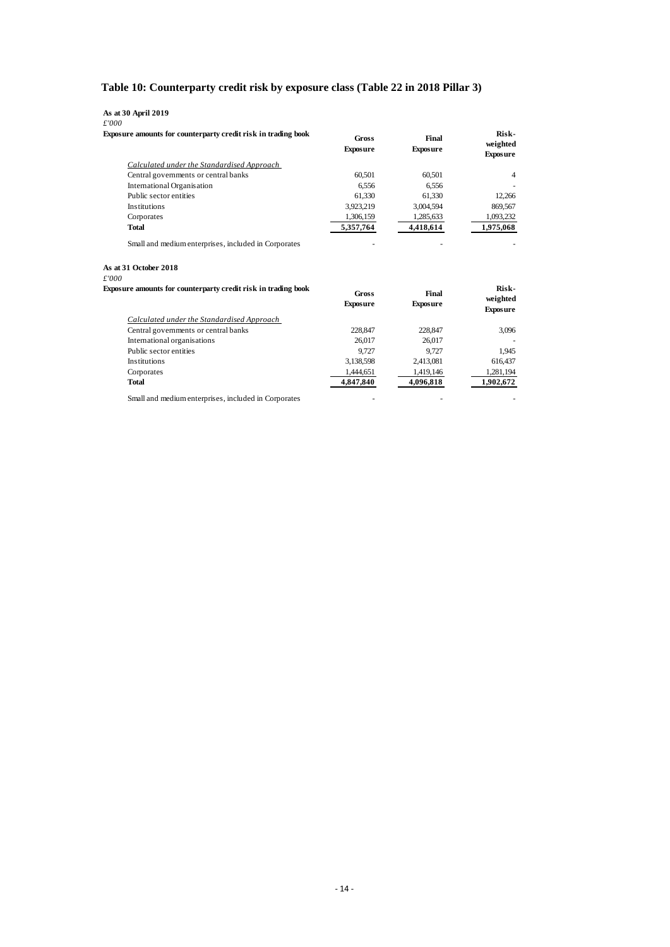### <span id="page-16-0"></span>**Table 10: Counterparty credit risk by exposure class (Table 22 in 2018 Pillar 3)**

#### **As at 30 April 2019**

*£'000*

| Exposure amounts for counterparty credit risk in trading book | Gross<br><b>Exposure</b> | Final<br><b>Exposure</b> | Risk-<br>weighted<br><b>Exposure</b> |
|---------------------------------------------------------------|--------------------------|--------------------------|--------------------------------------|
| Calculated under the Standardised Approach                    |                          |                          |                                      |
| Central governments or central banks                          | 60.501                   | 60.501                   | $\overline{4}$                       |
| International Organisation                                    | 6,556                    | 6,556                    |                                      |
| Public sector entities                                        | 61.330                   | 61.330                   | 12.266                               |
| <b>Institutions</b>                                           | 3,923,219                | 3,004,594                | 869,567                              |
| Corporates                                                    | 1,306,159                | 1,285,633                | 1,093,232                            |
| Total                                                         | 5,357,764                | 4,418,614                | 1,975,068                            |

**As at 31 October 2018**

*£'000*

| Exposure amounts for counterparty credit risk in trading book | Gross<br><b>Exposure</b> | Final<br><b>Exposure</b> | Risk-<br>weighted<br><b>Exposure</b> |
|---------------------------------------------------------------|--------------------------|--------------------------|--------------------------------------|
| Calculated under the Standardised Approach                    |                          |                          |                                      |
| Central governments or central banks                          | 228,847                  | 228,847                  | 3.096                                |
| International organisations                                   | 26,017                   | 26,017                   |                                      |
| Public sector entities                                        | 9.727                    | 9.727                    | 1.945                                |
| <b>Institutions</b>                                           | 3,138,598                | 2,413,081                | 616,437                              |
| Corporates                                                    | 1,444,651                | 1,419,146                | 1,281,194                            |
| <b>Total</b>                                                  | 4,847,840                | 4,096,818                | 1,902,672                            |

Small and medium enterprises, included in Corporates - - -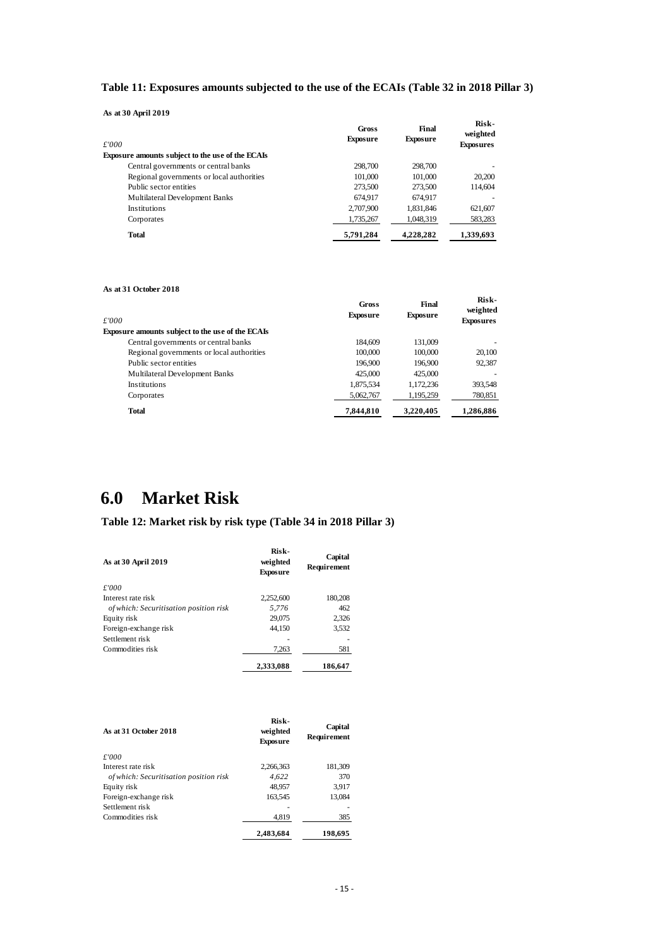#### <span id="page-17-1"></span>**Table 11: Exposures amounts subjected to the use of the ECAIs (Table 32 in 2018 Pillar 3)**

**As at 30 April 2019**

| лэ агэл лин 2017<br>£'000<br>Exposure amounts subject to the use of the ECAIs | Gross<br><b>Exposure</b> | Final<br><b>Exposure</b> | Risk-<br>weighted<br><b>Exposures</b> |
|-------------------------------------------------------------------------------|--------------------------|--------------------------|---------------------------------------|
| Central governments or central banks                                          | 298,700                  | 298,700                  |                                       |
| Regional governments or local authorities                                     | 101,000                  | 101.000                  | 20,200                                |
|                                                                               |                          |                          |                                       |
| Public sector entities                                                        | 273,500                  | 273,500                  | 114.604                               |
| Multilateral Development Banks                                                | 674.917                  | 674.917                  |                                       |
| <b>Institutions</b>                                                           | 2,707,900                | 1,831,846                | 621,607                               |
| Corporates                                                                    | 1,735,267                | 1,048,319                | 583,283                               |
| Total                                                                         | 5,791,284                | 4,228,282                | 1,339,693                             |

#### **As at 31 October 2018**

| £'000                                                   | Gross<br><b>Exposure</b> | Final<br><b>Exposure</b> | Risk-<br>weighted<br><b>Exposures</b> |
|---------------------------------------------------------|--------------------------|--------------------------|---------------------------------------|
| <b>Exposure amounts subject to the use of the ECAIs</b> |                          |                          |                                       |
| Central governments or central banks                    | 184,609                  | 131.009                  |                                       |
| Regional governments or local authorities               | 100,000                  | 100,000                  | 20,100                                |
| Public sector entities                                  | 196.900                  | 196.900                  | 92,387                                |
| Multilateral Development Banks                          | 425,000                  | 425,000                  |                                       |
| <b>Institutions</b>                                     | 1,875,534                | 1,172,236                | 393,548                               |
| Corporates                                              | 5,062,767                | 1,195,259                | 780,851                               |
| <b>Total</b>                                            | 7.844.810                | 3.220.405                | 1.286.886                             |

## <span id="page-17-0"></span>**6.0 Market Risk**

#### <span id="page-17-2"></span>**Table 12: Market risk by risk type (Table 34 in 2018 Pillar 3)**

| As at 30 April 2019                    | Risk-<br>weighted<br><b>Exposure</b> | Capital<br>Requirement |
|----------------------------------------|--------------------------------------|------------------------|
| £'000                                  |                                      |                        |
| Interest rate risk                     | 2,252,600                            | 180,208                |
| of which: Securitisation position risk | 5,776                                | 462                    |
| Equity risk                            | 29,075                               | 2,326                  |
| Foreign-exchange risk                  | 44,150                               | 3,532                  |
| Settlement risk                        |                                      |                        |
| Commodities risk                       | 7,263                                | 581                    |
|                                        | 2,333,088                            | 186,647                |

| As at 31 October 2018                  | Risk-<br>weighted<br><b>Exposure</b> | Capital<br>Requirement |
|----------------------------------------|--------------------------------------|------------------------|
| £'000                                  |                                      |                        |
| Interest rate risk                     | 2.266.363                            | 181,309                |
| of which: Securitisation position risk | 4.622                                | 370                    |
| Equity risk                            | 48.957                               | 3.917                  |
| Foreign-exchange risk                  | 163,545                              | 13,084                 |
| Settlement risk                        |                                      |                        |
| Commodities risk                       | 4,819                                | 385                    |
|                                        | 2,483,684                            | 198,695                |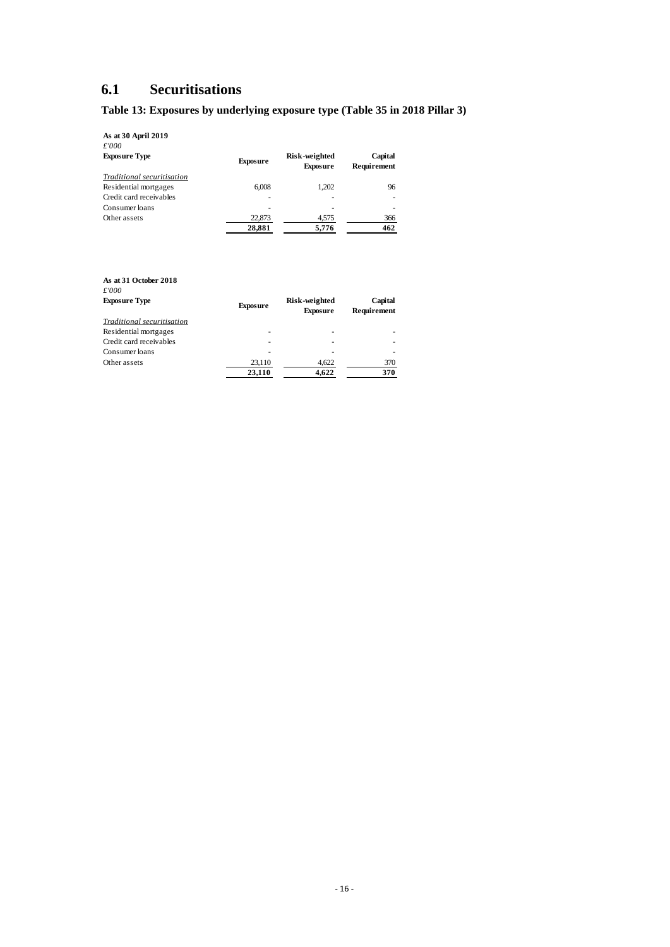### <span id="page-18-0"></span>**6.1 Securitisations**

### <span id="page-18-1"></span>**Table 13: Exposures by underlying exposure type (Table 35 in 2018 Pillar 3)**

**As at 30 April 2019**

| £'000                      |                 |                                  |                        |
|----------------------------|-----------------|----------------------------------|------------------------|
| <b>Exposure Type</b>       | <b>Exposure</b> | Risk-weighted<br><b>Exposure</b> | Capital<br>Requirement |
| Traditional securitisation |                 |                                  |                        |
| Residential mortgages      | 6.008           | 1.202                            | 96                     |
| Credit card receivables    | ۰               | ۰                                |                        |
| Consumer loans             | ۰               |                                  |                        |
| Other assets               | 22,873          | 4,575                            | 366                    |
|                            | 28,881          | 5,776                            | 462                    |

| As at 31 October 2018<br>£'000<br><b>Exposure Type</b> | <b>Exposure</b>  | Risk-weighted<br><b>Exposure</b> | Capital<br>Requirement |
|--------------------------------------------------------|------------------|----------------------------------|------------------------|
| Traditional securitisation<br>Residential mortgages    | ۰                | ۰                                |                        |
| Credit card receivables                                | ۰                | ۰                                | ۰                      |
| Consumer loans                                         | ۰                | -                                | ۰                      |
| Other assets                                           | 23,110<br>23,110 | 4,622<br>4.622                   | 370<br>370             |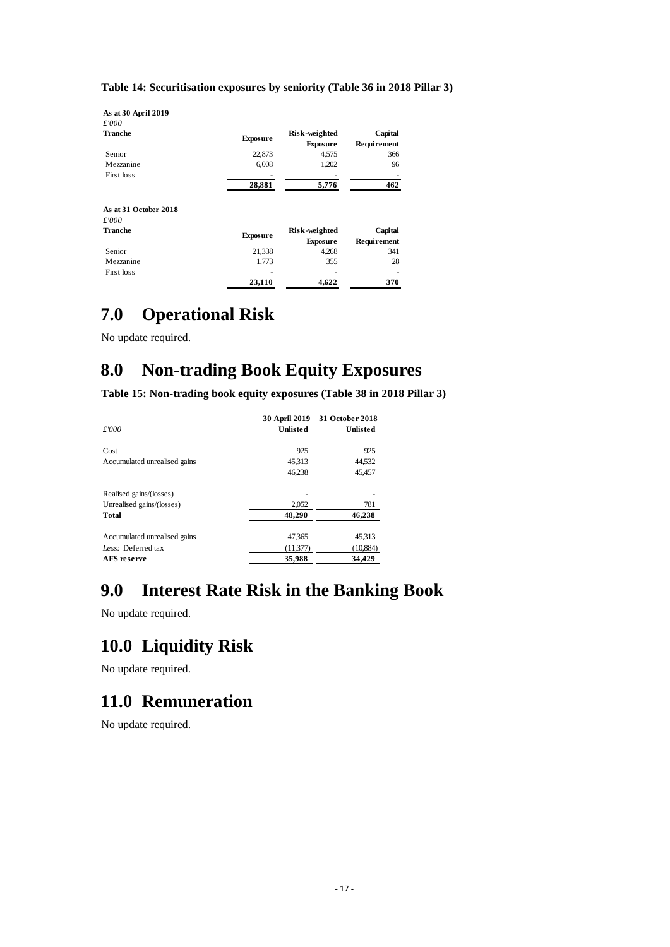#### <span id="page-19-5"></span>**Table 14: Securitisation exposures by seniority (Table 36 in 2018 Pillar 3)**

| As at 30 April 2019   |                 |                                  |                        |
|-----------------------|-----------------|----------------------------------|------------------------|
| £'000                 |                 |                                  |                        |
| Tranche               | <b>Exposure</b> | Risk-weighted<br><b>Exposure</b> | Capital<br>Requirement |
| Senior                | 22,873          | 4,575                            | 366                    |
| Mezzanine             | 6,008           | 1,202                            | 96                     |
| First loss            |                 |                                  |                        |
|                       | 28,881          | 5,776                            | 462                    |
| As at 31 October 2018 |                 |                                  |                        |
| £'000                 |                 |                                  |                        |
| Tranche               | <b>Exposure</b> | Risk-weighted<br><b>Exposure</b> | Capital<br>Requirement |
| Senior                | 21,338          | 4,268                            | 341                    |
| Mezzanine             | 1,773           | 355                              | 28                     |
| First loss            |                 |                                  |                        |
|                       | 23,110          | 4,622                            | 370                    |

### <span id="page-19-0"></span>**7.0 Operational Risk**

No update required.

## <span id="page-19-1"></span>**8.0 Non-trading Book Equity Exposures**

<span id="page-19-6"></span>**Table 15: Non-trading book equity exposures (Table 38 in 2018 Pillar 3)**

| £'000                        | <b>30 April 2019</b><br><b>Unlisted</b> | 31 October 2018<br><b>Unlisted</b> |
|------------------------------|-----------------------------------------|------------------------------------|
| Cost                         | 925                                     | 925                                |
| Accumulated unrealised gains | 45,313                                  | 44,532                             |
|                              | 46,238                                  | 45,457                             |
| Realised gains/(losses)      |                                         |                                    |
| Unrealised gains/(losses)    | 2.052                                   | 781                                |
| <b>Total</b>                 | 48,290                                  | 46,238                             |
| Accumulated unrealised gains | 47,365                                  | 45,313                             |
| Less: Deferred tax           | (11, 377)                               | (10, 884)                          |
| AFS reserve                  | 35.988                                  | 34.429                             |

## <span id="page-19-2"></span>**9.0 Interest Rate Risk in the Banking Book**

No update required.

### <span id="page-19-3"></span>**10.0 Liquidity Risk**

No update required.

### <span id="page-19-4"></span>**11.0 Remuneration**

No update required.